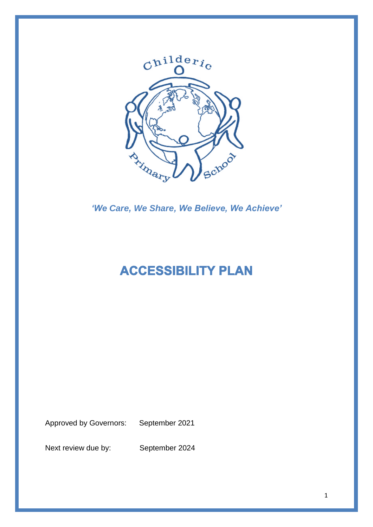

*'We Care, We Share, We Believe, We Achieve'*

# **ACCESSIBILITY PLAN**

Approved by Governors: September 2021

Next review due by: September 2024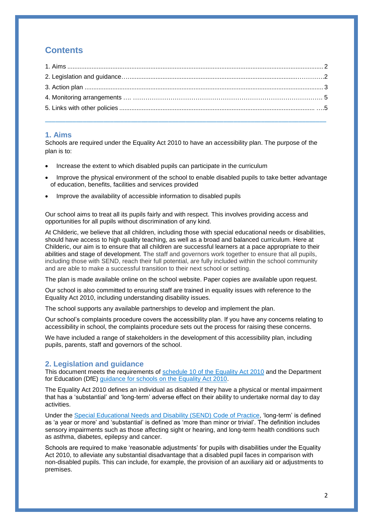# **Contents**

#### <span id="page-1-0"></span>**1. Aims**

Schools are required under the Equality Act 2010 to have an accessibility plan. The purpose of the plan is to:

- Increase the extent to which disabled pupils can participate in the curriculum
- Improve the physical environment of the school to enable disabled pupils to take better advantage of education, benefits, facilities and services provided
- Improve the availability of accessible information to disabled pupils

Our school aims to treat all its pupils fairly and with respect. This involves providing access and opportunities for all pupils without discrimination of any kind.

At Childeric, we believe that all children, including those with special educational needs or disabilities, should have access to high quality teaching, as well as a broad and balanced curriculum. Here at Childeric, our aim is to ensure that all children are successful learners at a pace appropriate to their abilities and stage of development. The staff and governors work together to ensure that all pupils, including those with SEND, reach their full potential, are fully included within the school community and are able to make a successful transition to their next school or setting.

The plan is made available online on the school website. Paper copies are available upon request.

Our school is also committed to ensuring staff are trained in equality issues with reference to the Equality Act 2010, including understanding disability issues.

The school supports any available partnerships to develop and implement the plan.

Our school's complaints procedure covers the accessibility plan. If you have any concerns relating to accessibility in school, the complaints procedure sets out the process for raising these concerns.

We have included a range of stakeholders in the development of this accessibility plan, including pupils, parents, staff and governors of the school.

#### **2. Legislation and guidance**

This document meets the requirements of [schedule 10 of the Equality Act 2010](http://www.legislation.gov.uk/ukpga/2010/15/schedule/10) and the Department for Education (DfE) [guidance for schools on the Equality Act 2010.](https://www.gov.uk/government/publications/equality-act-2010-advice-for-schools)

The Equality Act 2010 defines an individual as disabled if they have a physical or mental impairment that has a 'substantial' and 'long-term' adverse effect on their ability to undertake normal day to day activities.

Under the [Special Educational Needs and Disability \(SEND\) Code of Practice,](https://www.gov.uk/government/publications/send-code-of-practice-0-to-25) 'long-term' is defined as 'a year or more' and 'substantial' is defined as 'more than minor or trivial'. The definition includes sensory impairments such as those affecting sight or hearing, and long-term health conditions such as asthma, diabetes, epilepsy and cancer.

Schools are required to make 'reasonable adjustments' for pupils with disabilities under the Equality Act 2010, to alleviate any substantial disadvantage that a disabled pupil faces in comparison with non-disabled pupils. This can include, for example, the provision of an auxiliary aid or adjustments to premises.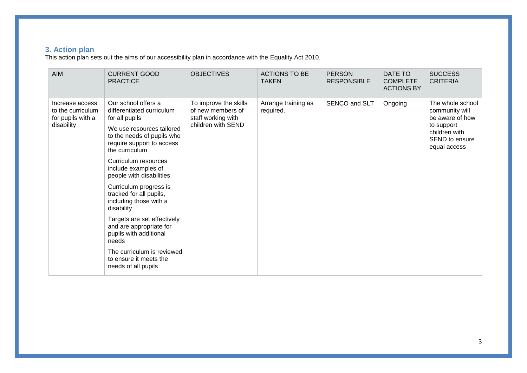## **3. Action plan**

This action plan sets out the aims of our accessibility plan in accordance with the Equality Act 2010.

<span id="page-2-0"></span>

| <b>AIM</b>                                                              | <b>CURRENT GOOD</b><br><b>PRACTICE</b>                                                                                                                                                                                                                                                                                                                                                                                                                                                                                           | <b>OBJECTIVES</b>                                                                      | <b>ACTIONS TO BE</b><br><b>TAKEN</b> | <b>PERSON</b><br><b>RESPONSIBLE</b> | DATE TO<br><b>COMPLETE</b><br><b>ACTIONS BY</b> | <b>SUCCESS</b><br><b>CRITERIA</b>                                                                                      |
|-------------------------------------------------------------------------|----------------------------------------------------------------------------------------------------------------------------------------------------------------------------------------------------------------------------------------------------------------------------------------------------------------------------------------------------------------------------------------------------------------------------------------------------------------------------------------------------------------------------------|----------------------------------------------------------------------------------------|--------------------------------------|-------------------------------------|-------------------------------------------------|------------------------------------------------------------------------------------------------------------------------|
| Increase access<br>to the curriculum<br>for pupils with a<br>disability | Our school offers a<br>differentiated curriculum<br>for all pupils<br>We use resources tailored<br>to the needs of pupils who<br>require support to access<br>the curriculum<br>Curriculum resources<br>include examples of<br>people with disabilities<br>Curriculum progress is<br>tracked for all pupils,<br>including those with a<br>disability<br>Targets are set effectively<br>and are appropriate for<br>pupils with additional<br>needs<br>The curriculum is reviewed<br>to ensure it meets the<br>needs of all pupils | To improve the skills<br>of new members of<br>staff working with<br>children with SEND | Arrange training as<br>required.     | SENCO and SLT                       | Ongoing                                         | The whole school<br>community will<br>be aware of how<br>to support<br>children with<br>SEND to ensure<br>equal access |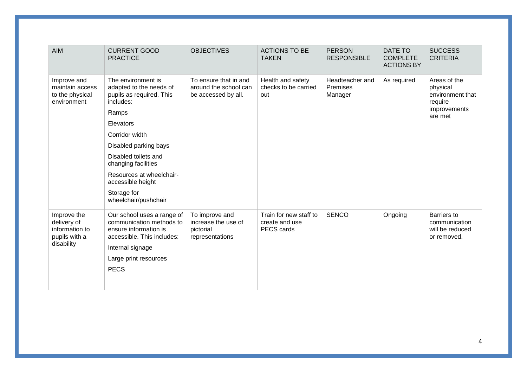| <b>AIM</b>                                                                  | <b>CURRENT GOOD</b><br><b>PRACTICE</b>                                                                                                                                    | <b>OBJECTIVES</b>                                                     | <b>ACTIONS TO BE</b><br><b>TAKEN</b>                   | <b>PERSON</b><br><b>RESPONSIBLE</b>           | DATE TO<br><b>COMPLETE</b><br><b>ACTIONS BY</b> | <b>SUCCESS</b><br><b>CRITERIA</b>                                     |
|-----------------------------------------------------------------------------|---------------------------------------------------------------------------------------------------------------------------------------------------------------------------|-----------------------------------------------------------------------|--------------------------------------------------------|-----------------------------------------------|-------------------------------------------------|-----------------------------------------------------------------------|
| Improve and<br>maintain access<br>to the physical<br>environment            | The environment is<br>adapted to the needs of<br>pupils as required. This<br>includes:                                                                                    | To ensure that in and<br>around the school can<br>be accessed by all. | Health and safety<br>checks to be carried<br>out       | Headteacher and<br><b>Premises</b><br>Manager | As required                                     | Areas of the<br>physical<br>environment that<br>require               |
|                                                                             | Ramps                                                                                                                                                                     |                                                                       |                                                        |                                               |                                                 | improvements<br>are met                                               |
|                                                                             | Elevators                                                                                                                                                                 |                                                                       |                                                        |                                               |                                                 |                                                                       |
|                                                                             | Corridor width                                                                                                                                                            |                                                                       |                                                        |                                               |                                                 |                                                                       |
|                                                                             | Disabled parking bays                                                                                                                                                     |                                                                       |                                                        |                                               |                                                 |                                                                       |
|                                                                             | Disabled toilets and<br>changing facilities                                                                                                                               |                                                                       |                                                        |                                               |                                                 |                                                                       |
|                                                                             | Resources at wheelchair-<br>accessible height                                                                                                                             |                                                                       |                                                        |                                               |                                                 |                                                                       |
|                                                                             | Storage for<br>wheelchair/pushchair                                                                                                                                       |                                                                       |                                                        |                                               |                                                 |                                                                       |
| Improve the<br>delivery of<br>information to<br>pupils with a<br>disability | Our school uses a range of<br>communication methods to<br>ensure information is<br>accessible. This includes:<br>Internal signage<br>Large print resources<br><b>PECS</b> | To improve and<br>increase the use of<br>pictorial<br>representations | Train for new staff to<br>create and use<br>PECS cards | <b>SENCO</b>                                  | Ongoing                                         | <b>Barriers</b> to<br>communication<br>will be reduced<br>or removed. |
|                                                                             |                                                                                                                                                                           |                                                                       |                                                        |                                               |                                                 |                                                                       |